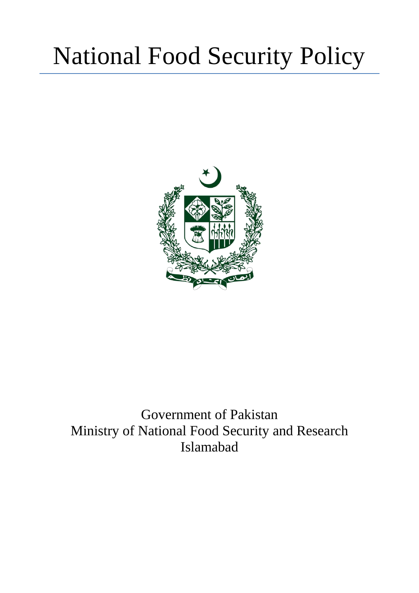# National Food Security Policy



# Government of Pakistan Ministry of National Food Security and Research Islamabad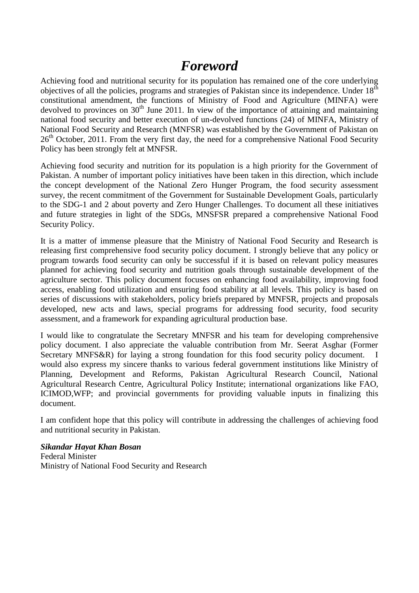# *Foreword*

<span id="page-1-0"></span>Achieving food and nutritional security for its population has remained one of the core underlying objectives of all the policies, programs and strategies of Pakistan since its independence. Under  $18<sup>th</sup>$ constitutional amendment, the functions of Ministry of Food and Agriculture (MINFA) were devolved to provinces on  $30<sup>th</sup>$  June 2011. In view of the importance of attaining and maintaining national food security and better execution of un-devolved functions (24) of MINFA, Ministry of National Food Security and Research (MNFSR) was established by the Government of Pakistan on 26<sup>th</sup> October, 2011. From the very first day, the need for a comprehensive National Food Security Policy has been strongly felt at MNFSR.

Achieving food security and nutrition for its population is a high priority for the Government of Pakistan. A number of important policy initiatives have been taken in this direction, which include the concept development of the National Zero Hunger Program, the food security assessment survey, the recent commitment of the Government for Sustainable Development Goals, particularly to the SDG-1 and 2 about poverty and Zero Hunger Challenges. To document all these initiatives and future strategies in light of the SDGs, MNSFSR prepared a comprehensive National Food Security Policy.

It is a matter of immense pleasure that the Ministry of National Food Security and Research is releasing first comprehensive food security policy document. I strongly believe that any policy or program towards food security can only be successful if it is based on relevant policy measures planned for achieving food security and nutrition goals through sustainable development of the agriculture sector. This policy document focuses on enhancing food availability, improving food access, enabling food utilization and ensuring food stability at all levels. This policy is based on series of discussions with stakeholders, policy briefs prepared by MNFSR, projects and proposals developed, new acts and laws, special programs for addressing food security, food security assessment, and a framework for expanding agricultural production base.

I would like to congratulate the Secretary MNFSR and his team for developing comprehensive policy document. I also appreciate the valuable contribution from Mr. Seerat Asghar (Former Secretary MNFS&R) for laying a strong foundation for this food security policy document. I would also express my sincere thanks to various federal government institutions like Ministry of Planning, Development and Reforms, Pakistan Agricultural Research Council, National Agricultural Research Centre, Agricultural Policy Institute; international organizations like FAO, ICIMOD,WFP; and provincial governments for providing valuable inputs in finalizing this document.

I am confident hope that this policy will contribute in addressing the challenges of achieving food and nutritional security in Pakistan.

# *Sikandar Hayat Khan Bosan*

Federal Minister Ministry of National Food Security and Research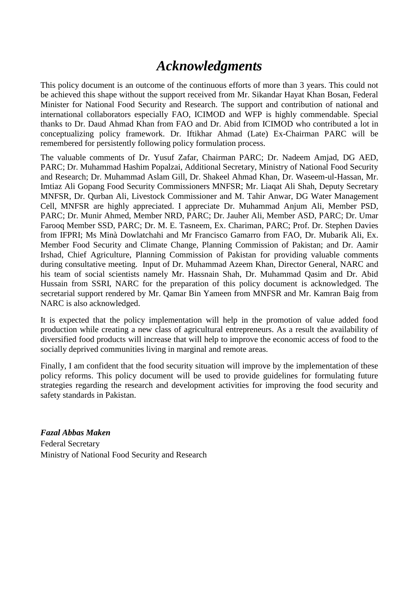# *Acknowledgments*

<span id="page-2-0"></span>This policy document is an outcome of the continuous efforts of more than 3 years. This could not be achieved this shape without the support received from Mr. Sikandar Hayat Khan Bosan, Federal Minister for National Food Security and Research. The support and contribution of national and international collaborators especially FAO, ICIMOD and WFP is highly commendable. Special thanks to Dr. Daud Ahmad Khan from FAO and Dr. Abid from ICIMOD who contributed a lot in conceptualizing policy framework. Dr. Iftikhar Ahmad (Late) Ex-Chairman PARC will be remembered for persistently following policy formulation process.

The valuable comments of Dr. Yusuf Zafar, Chairman PARC; Dr. Nadeem Amjad, DG AED, PARC; Dr. Muhammad Hashim Popalzai, Additional Secretary, Ministry of National Food Security and Research; Dr. Muhammad Aslam Gill, Dr. Shakeel Ahmad Khan, Dr. Waseem-ul-Hassan, Mr. Imtiaz Ali Gopang Food Security Commissioners MNFSR; Mr. Liaqat Ali Shah, Deputy Secretary MNFSR, Dr. Qurban Ali, Livestock Commissioner and M. Tahir Anwar, DG Water Management Cell, MNFSR are highly appreciated. I appreciate Dr. Muhammad Anjum Ali, Member PSD, PARC; Dr. Munir Ahmed, Member NRD, PARC; Dr. Jauher Ali, Member ASD, PARC; Dr. Umar Farooq Member SSD, PARC; Dr. M. E. Tasneem, Ex. Chariman, PARC; Prof. Dr. Stephen Davies from IFPRI; Ms Minà Dowlatchahi and Mr Francisco Gamarro from FAO, Dr. Mubarik Ali, Ex. Member Food Security and Climate Change, Planning Commission of Pakistan; and Dr. Aamir Irshad, Chief Agriculture, Planning Commission of Pakistan for providing valuable comments during consultative meeting. Input of Dr. Muhammad Azeem Khan, Director General, NARC and his team of social scientists namely Mr. Hassnain Shah, Dr. Muhammad Qasim and Dr. Abid Hussain from SSRI, NARC for the preparation of this policy document is acknowledged. The secretarial support rendered by Mr. Qamar Bin Yameen from MNFSR and Mr. Kamran Baig from NARC is also acknowledged.

It is expected that the policy implementation will help in the promotion of value added food production while creating a new class of agricultural entrepreneurs. As a result the availability of diversified food products will increase that will help to improve the economic access of food to the socially deprived communities living in marginal and remote areas.

Finally, I am confident that the food security situation will improve by the implementation of these policy reforms. This policy document will be used to provide guidelines for formulating future strategies regarding the research and development activities for improving the food security and safety standards in Pakistan.

*Fazal Abbas Maken* Federal Secretary Ministry of National Food Security and Research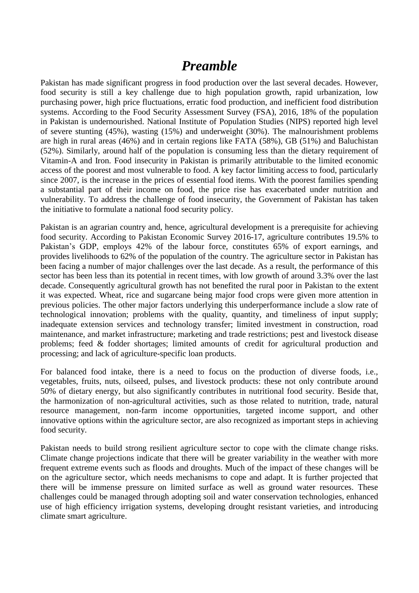# *Preamble*

<span id="page-3-0"></span>Pakistan has made significant progress in food production over the last several decades. However, food security is still a key challenge due to high population growth, rapid urbanization, low purchasing power, high price fluctuations, erratic food production, and inefficient food distribution systems. According to the Food Security Assessment Survey (FSA), 2016, 18% of the population in Pakistan is undernourished. National Institute of Population Studies (NIPS) reported high level of severe stunting (45%), wasting (15%) and underweight (30%). The malnourishment problems are high in rural areas (46%) and in certain regions like FATA (58%), GB (51%) and Baluchistan (52%). Similarly, around half of the population is consuming less than the dietary requirement of Vitamin-A and Iron. Food insecurity in Pakistan is primarily attributable to the limited economic access of the poorest and most vulnerable to food. A key factor limiting access to food, particularly since 2007, is the increase in the prices of essential food items. With the poorest families spending a substantial part of their income on food, the price rise has exacerbated under nutrition and vulnerability. To address the challenge of food insecurity, the Government of Pakistan has taken the initiative to formulate a national food security policy.

Pakistan is an agrarian country and, hence, agricultural development is a prerequisite for achieving food security. According to Pakistan Economic Survey 2016-17, agriculture contributes 19.5% to Pakistan's GDP, employs 42% of the labour force, constitutes 65% of export earnings, and provides livelihoods to 62% of the population of the country. The agriculture sector in Pakistan has been facing a number of major challenges over the last decade. As a result, the performance of this sector has been less than its potential in recent times, with low growth of around 3.3% over the last decade. Consequently agricultural growth has not benefited the rural poor in Pakistan to the extent it was expected. Wheat, rice and sugarcane being major food crops were given more attention in previous policies. The other major factors underlying this underperformance include a slow rate of technological innovation; problems with the quality, quantity, and timeliness of input supply; inadequate extension services and technology transfer; limited investment in construction, road maintenance, and market infrastructure; marketing and trade restrictions; pest and livestock disease problems; feed & fodder shortages; limited amounts of credit for agricultural production and processing; and lack of agriculture-specific loan products.

For balanced food intake, there is a need to focus on the production of diverse foods, i.e., vegetables, fruits, nuts, oilseed, pulses, and livestock products: these not only contribute around 50% of dietary energy, but also significantly contributes in nutritional food security. Beside that, the harmonization of non-agricultural activities, such as those related to nutrition, trade, natural resource management, non-farm income opportunities, targeted income support, and other innovative options within the agriculture sector, are also recognized as important steps in achieving food security.

Pakistan needs to build strong resilient agriculture sector to cope with the climate change risks. Climate change projections indicate that there will be greater variability in the weather with more frequent extreme events such as floods and droughts. Much of the impact of these changes will be on the agriculture sector, which needs mechanisms to cope and adapt. It is further projected that there will be immense pressure on limited surface as well as ground water resources. These challenges could be managed through adopting soil and water conservation technologies, enhanced use of high efficiency irrigation systems, developing drought resistant varieties, and introducing climate smart agriculture.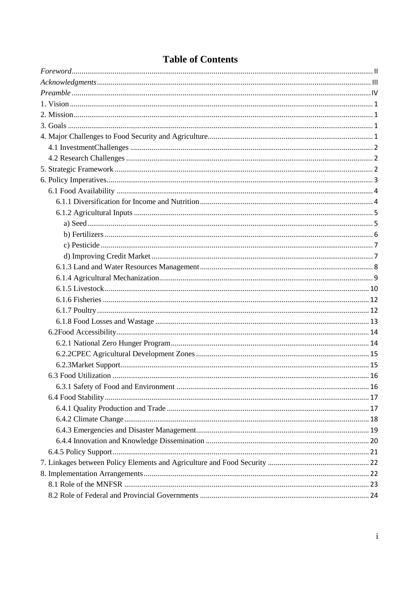# **Table of Contents**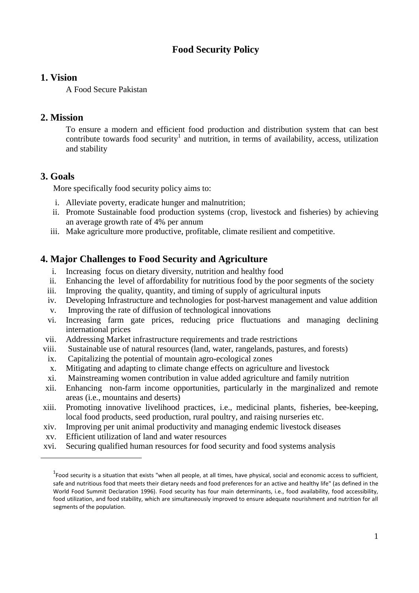# **Food Security Policy**

#### <span id="page-5-0"></span>**1. Vision**

A Food Secure Pakistan

# <span id="page-5-1"></span>**2. Mission**

To ensure a modern and efficient food production and distribution system that can best contribute towards food security<sup>1</sup> and nutrition, in terms of availability, access, utilization and stability

# <span id="page-5-2"></span>**3. Goals**

 $\overline{a}$ 

More specifically food security policy aims to:

- i. Alleviate poverty, eradicate hunger and malnutrition;
- ii. Promote Sustainable food production systems (crop, livestock and fisheries) by achieving an average growth rate of 4% per annum
- <span id="page-5-3"></span>iii. Make agriculture more productive, profitable, climate resilient and competitive.

# **4. Major Challenges to Food Security and Agriculture**

- i. Increasing focus on dietary diversity, nutrition and healthy food
- ii. Enhancing the level of affordability for nutritious food by the poor segments of the society
- iii. Improving the quality, quantity, and timing of supply of agricultural inputs
- iv. Developing Infrastructure and technologies for post-harvest management and value addition
- v. Improving the rate of diffusion of technological innovations
- vi. Increasing farm gate prices, reducing price fluctuations and managing declining international prices
- vii. Addressing Market infrastructure requirements and trade restrictions
- viii. Sustainable use of natural resources (land, water, rangelands, pastures, and forests)
- ix. Capitalizing the potential of mountain agro-ecological zones
- x. Mitigating and adapting to climate change effects on agriculture and livestock
- xi. Mainstreaming women contribution in value added agriculture and family nutrition
- xii. Enhancing non-farm income opportunities, particularly in the marginalized and remote areas (i.e., mountains and deserts)
- xiii. Promoting innovative livelihood practices, i.e., medicinal plants, fisheries, bee-keeping, local food products, seed production, rural poultry, and raising nurseries etc.
- xiv. Improving per unit animal productivity and managing endemic livestock diseases
- xv. Efficient utilization of land and water resources
- xvi. Securing qualified human resources for food security and food systems analysis

 $^1$ Food security is a situation that exists "when all people, at all times, have physical, social and economic access to sufficient, safe and nutritious food that meets their dietary needs and food preferences for an active and healthy life" (as defined in the World Food Summit Declaration 1996). Food security has four main determinants, i.e., food availability, food accessibility, food utilization, and food stability, which are simultaneously improved to ensure adequate nourishment and nutrition for all segments of the population.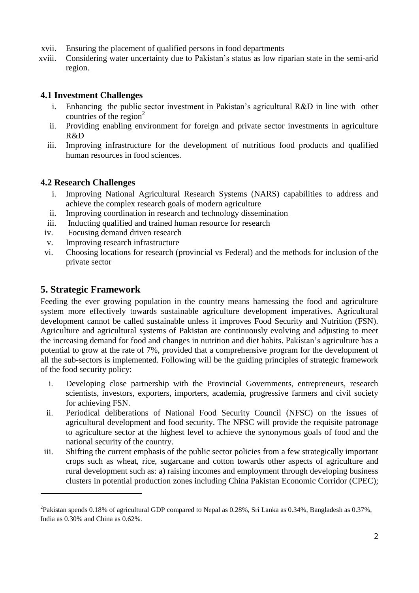- xvii. Ensuring the placement of qualified persons in food departments
- xviii. Considering water uncertainty due to Pakistan's status as low riparian state in the semi-arid region.

## <span id="page-6-0"></span>**4.1 Investment Challenges**

- i. Enhancing the public sector investment in Pakistan's agricultural R&D in line with other countries of the region $2$
- ii. Providing enabling environment for foreign and private sector investments in agriculture R&D
- iii. Improving infrastructure for the development of nutritious food products and qualified human resources in food sciences.

## <span id="page-6-1"></span>**4.2 Research Challenges**

- i. Improving National Agricultural Research Systems (NARS) capabilities to address and achieve the complex research goals of modern agriculture
- ii. Improving coordination in research and technology dissemination
- iii. Inducting qualified and trained human resource for research
- iv. Focusing demand driven research
- v. Improving research infrastructure
- vi. Choosing locations for research (provincial vs Federal) and the methods for inclusion of the private sector

# <span id="page-6-2"></span>**5. Strategic Framework**

 $\overline{a}$ 

Feeding the ever growing population in the country means harnessing the food and agriculture system more effectively towards sustainable agriculture development imperatives. Agricultural development cannot be called sustainable unless it improves Food Security and Nutrition (FSN). Agriculture and agricultural systems of Pakistan are continuously evolving and adjusting to meet the increasing demand for food and changes in nutrition and diet habits. Pakistan's agriculture has a potential to grow at the rate of 7%, provided that a comprehensive program for the development of all the sub-sectors is implemented. Following will be the guiding principles of strategic framework of the food security policy:

- i. Developing close partnership with the Provincial Governments, entrepreneurs, research scientists, investors, exporters, importers, academia, progressive farmers and civil society for achieving FSN.
- ii. Periodical deliberations of National Food Security Council (NFSC) on the issues of agricultural development and food security. The NFSC will provide the requisite patronage to agriculture sector at the highest level to achieve the synonymous goals of food and the national security of the country.
- iii. Shifting the current emphasis of the public sector policies from a few strategically important crops such as wheat, rice, sugarcane and cotton towards other aspects of agriculture and rural development such as: a) raising incomes and employment through developing business clusters in potential production zones including China Pakistan Economic Corridor (CPEC);

<sup>&</sup>lt;sup>2</sup>Pakistan spends 0.18% of agricultural GDP compared to Nepal as 0.28%, Sri Lanka as 0.34%, Bangladesh as 0.37%, India as 0.30% and China as 0.62%.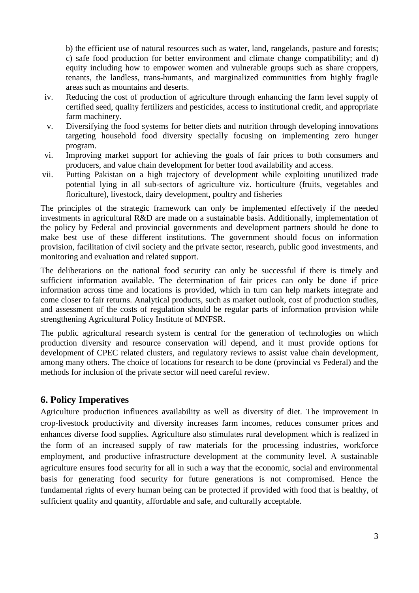b) the efficient use of natural resources such as water, land, rangelands, pasture and forests; c) safe food production for better environment and climate change compatibility; and d) equity including how to empower women and vulnerable groups such as share croppers, tenants, the landless, trans-humants, and marginalized communities from highly fragile areas such as mountains and deserts.

- iv. Reducing the cost of production of agriculture through enhancing the farm level supply of certified seed, quality fertilizers and pesticides, access to institutional credit, and appropriate farm machinery.
- v. Diversifying the food systems for better diets and nutrition through developing innovations targeting household food diversity specially focusing on implementing zero hunger program.
- vi. Improving market support for achieving the goals of fair prices to both consumers and producers, and value chain development for better food availability and access.
- vii. Putting Pakistan on a high trajectory of development while exploiting unutilized trade potential lying in all sub-sectors of agriculture viz. horticulture (fruits, vegetables and floriculture), livestock, dairy development, poultry and fisheries

The principles of the strategic framework can only be implemented effectively if the needed investments in agricultural R&D are made on a sustainable basis. Additionally, implementation of the policy by Federal and provincial governments and development partners should be done to make best use of these different institutions. The government should focus on information provision, facilitation of civil society and the private sector, research, public good investments, and monitoring and evaluation and related support.

The deliberations on the national food security can only be successful if there is timely and sufficient information available. The determination of fair prices can only be done if price information across time and locations is provided, which in turn can help markets integrate and come closer to fair returns. Analytical products, such as market outlook, cost of production studies, and assessment of the costs of regulation should be regular parts of information provision while strengthening Agricultural Policy Institute of MNFSR.

The public agricultural research system is central for the generation of technologies on which production diversity and resource conservation will depend, and it must provide options for development of CPEC related clusters, and regulatory reviews to assist value chain development, among many others. The choice of locations for research to be done (provincial vs Federal) and the methods for inclusion of the private sector will need careful review.

# <span id="page-7-0"></span>**6. Policy Imperatives**

Agriculture production influences availability as well as diversity of diet. The improvement in crop-livestock productivity and diversity increases farm incomes, reduces consumer prices and enhances diverse food supplies. Agriculture also stimulates rural development which is realized in the form of an increased supply of raw materials for the processing industries, workforce employment, and productive infrastructure development at the community level. A sustainable agriculture ensures food security for all in such a way that the economic, social and environmental basis for generating food security for future generations is not compromised. Hence the fundamental rights of every human being can be protected if provided with food that is healthy, of sufficient quality and quantity, affordable and safe, and culturally acceptable.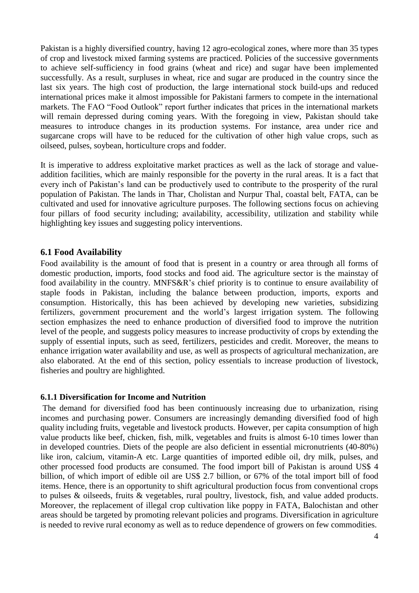Pakistan is a highly diversified country, having 12 agro-ecological zones, where more than 35 types of crop and livestock mixed farming systems are practiced. Policies of the successive governments to achieve self-sufficiency in food grains (wheat and rice) and sugar have been implemented successfully. As a result, surpluses in wheat, rice and sugar are produced in the country since the last six years. The high cost of production, the large international stock build-ups and reduced international prices make it almost impossible for Pakistani farmers to compete in the international markets. The FAO "Food Outlook" report further indicates that prices in the international markets will remain depressed during coming years. With the foregoing in view, Pakistan should take measures to introduce changes in its production systems. For instance, area under rice and sugarcane crops will have to be reduced for the cultivation of other high value crops, such as oilseed, pulses, soybean, horticulture crops and fodder.

It is imperative to address exploitative market practices as well as the lack of storage and valueaddition facilities, which are mainly responsible for the poverty in the rural areas. It is a fact that every inch of Pakistan's land can be productively used to contribute to the prosperity of the rural population of Pakistan. The lands in Thar, Cholistan and Nurpur Thal, coastal belt, FATA, can be cultivated and used for innovative agriculture purposes. The following sections focus on achieving four pillars of food security including; availability, accessibility, utilization and stability while highlighting key issues and suggesting policy interventions.

#### <span id="page-8-0"></span>**6.1 Food Availability**

Food availability is the amount of food that is present in a country or area through all forms of domestic production, imports, food stocks and food aid. The agriculture sector is the mainstay of food availability in the country. MNFS&R's chief priority is to continue to ensure availability of staple foods in Pakistan, including the balance between production, imports, exports and consumption. Historically, this has been achieved by developing new varieties, subsidizing fertilizers, government procurement and the world's largest irrigation system. The following section emphasizes the need to enhance production of diversified food to improve the nutrition level of the people, and suggests policy measures to increase productivity of crops by extending the supply of essential inputs, such as seed, fertilizers, pesticides and credit. Moreover, the means to enhance irrigation water availability and use, as well as prospects of agricultural mechanization, are also elaborated. At the end of this section, policy essentials to increase production of livestock, fisheries and poultry are highlighted.

#### <span id="page-8-1"></span>**6.1.1 Diversification for Income and Nutrition**

The demand for diversified food has been continuously increasing due to urbanization, rising incomes and purchasing power. Consumers are increasingly demanding diversified food of high quality including fruits, vegetable and livestock products. However, per capita consumption of high value products like beef, chicken, fish, milk, vegetables and fruits is almost 6-10 times lower than in developed countries. Diets of the people are also deficient in essential micronutrients (40-80%) like iron, calcium, vitamin-A etc. Large quantities of imported edible oil, dry milk, pulses, and other processed food products are consumed. The food import bill of Pakistan is around US\$ 4 billion, of which import of edible oil are US\$ 2.7 billion, or 67% of the total import bill of food items. Hence, there is an opportunity to shift agricultural production focus from conventional crops to pulses & oilseeds, fruits & vegetables, rural poultry, livestock, fish, and value added products. Moreover, the replacement of illegal crop cultivation like poppy in FATA, Balochistan and other areas should be targeted by promoting relevant policies and programs. Diversification in agriculture is needed to revive rural economy as well as to reduce dependence of growers on few commodities.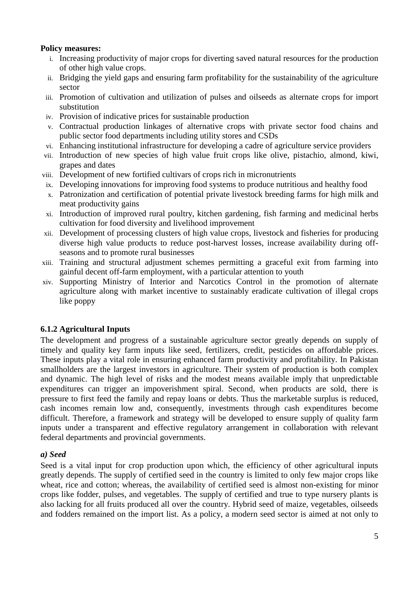#### **Policy measures:**

- i. Increasing productivity of major crops for diverting saved natural resources for the production of other high value crops.
- ii. Bridging the yield gaps and ensuring farm profitability for the sustainability of the agriculture sector
- iii. Promotion of cultivation and utilization of pulses and oilseeds as alternate crops for import substitution
- iv. Provision of indicative prices for sustainable production
- v. Contractual production linkages of alternative crops with private sector food chains and public sector food departments including utility stores and CSDs
- vi. Enhancing institutional infrastructure for developing a cadre of agriculture service providers
- vii. Introduction of new species of high value fruit crops like olive, pistachio, almond, kiwi, grapes and dates
- viii. Development of new fortified cultivars of crops rich in micronutrients
- ix. Developing innovations for improving food systems to produce nutritious and healthy food
- x. Patronization and certification of potential private livestock breeding farms for high milk and meat productivity gains
- xi. Introduction of improved rural poultry, kitchen gardening, fish farming and medicinal herbs cultivation for food diversity and livelihood improvement
- xii. Development of processing clusters of high value crops, livestock and fisheries for producing diverse high value products to reduce post-harvest losses, increase availability during offseasons and to promote rural businesses
- xiii. Training and structural adjustment schemes permitting a graceful exit from farming into gainful decent off-farm employment, with a particular attention to youth
- xiv. Supporting Ministry of Interior and Narcotics Control in the promotion of alternate agriculture along with market incentive to sustainably eradicate cultivation of illegal crops like poppy

#### <span id="page-9-0"></span>**6.1.2 Agricultural Inputs**

The development and progress of a sustainable agriculture sector greatly depends on supply of timely and quality key farm inputs like seed, fertilizers, credit, pesticides on affordable prices. These inputs play a vital role in ensuring enhanced farm productivity and profitability. In Pakistan smallholders are the largest investors in agriculture. Their system of production is both complex and dynamic. The high level of risks and the modest means available imply that unpredictable expenditures can trigger an impoverishment spiral. Second, when products are sold, there is pressure to first feed the family and repay loans or debts. Thus the marketable surplus is reduced, cash incomes remain low and, consequently, investments through cash expenditures become difficult. Therefore, a framework and strategy will be developed to ensure supply of quality farm inputs under a transparent and effective regulatory arrangement in collaboration with relevant federal departments and provincial governments.

#### <span id="page-9-1"></span>*a) Seed*

Seed is a vital input for crop production upon which, the efficiency of other agricultural inputs greatly depends. The supply of certified seed in the country is limited to only few major crops like wheat, rice and cotton; whereas, the availability of certified seed is almost non-existing for minor crops like fodder, pulses, and vegetables. The supply of certified and true to type nursery plants is also lacking for all fruits produced all over the country. Hybrid seed of maize, vegetables, oilseeds and fodders remained on the import list. As a policy, a modern seed sector is aimed at not only to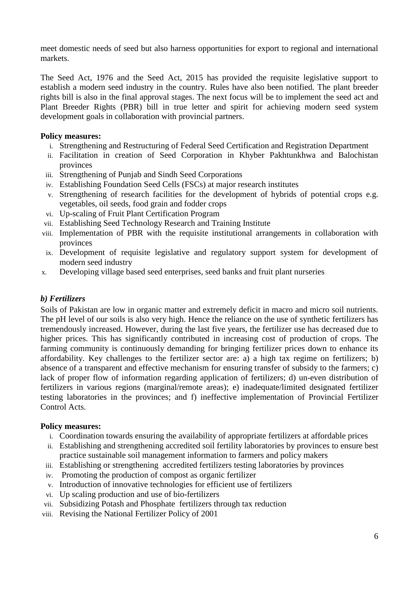meet domestic needs of seed but also harness opportunities for export to regional and international markets.

The Seed Act, 1976 and the Seed Act, 2015 has provided the requisite legislative support to establish a modern seed industry in the country. Rules have also been notified. The plant breeder rights bill is also in the final approval stages. The next focus will be to implement the seed act and Plant Breeder Rights (PBR) bill in true letter and spirit for achieving modern seed system development goals in collaboration with provincial partners.

#### **Policy measures:**

- i. Strengthening and Restructuring of Federal Seed Certification and Registration Department
- ii. Facilitation in creation of Seed Corporation in Khyber Pakhtunkhwa and Balochistan provinces
- iii. Strengthening of Punjab and Sindh Seed Corporations
- iv. Establishing Foundation Seed Cells (FSCs) at major research institutes
- v. Strengthening of research facilities for the development of hybrids of potential crops e.g. vegetables, oil seeds, food grain and fodder crops
- vi. Up-scaling of Fruit Plant Certification Program
- vii. Establishing Seed Technology Research and Training Institute
- viii. Implementation of PBR with the requisite institutional arrangements in collaboration with provinces
- ix. Development of requisite legislative and regulatory support system for development of modern seed industry
- x. Developing village based seed enterprises, seed banks and fruit plant nurseries

#### <span id="page-10-0"></span>*b) Fertilizers*

Soils of Pakistan are low in organic matter and extremely deficit in macro and micro soil nutrients. The pH level of our soils is also very high. Hence the reliance on the use of synthetic fertilizers has tremendously increased. However, during the last five years, the fertilizer use has decreased due to higher prices. This has significantly contributed in increasing cost of production of crops. The farming community is continuously demanding for bringing fertilizer prices down to enhance its affordability. Key challenges to the fertilizer sector are: a) a high tax regime on fertilizers; b) absence of a transparent and effective mechanism for ensuring transfer of subsidy to the farmers; c) lack of proper flow of information regarding application of fertilizers; d) un-even distribution of fertilizers in various regions (marginal/remote areas); e) inadequate/limited designated fertilizer testing laboratories in the provinces; and f) ineffective implementation of Provincial Fertilizer Control Acts.

- i. Coordination towards ensuring the availability of appropriate fertilizers at affordable prices
- ii. Establishing and strengthening accredited soil fertility laboratories by provinces to ensure best practice sustainable soil management information to farmers and policy makers
- iii. Establishing or strengthening accredited fertilizers testing laboratories by provinces
- iv. Promoting the production of compost as organic fertilizer
- v. Introduction of innovative technologies for efficient use of fertilizers
- vi. Up scaling production and use of bio-fertilizers
- vii. Subsidizing Potash and Phosphate fertilizers through tax reduction
- viii. Revising the National Fertilizer Policy of 2001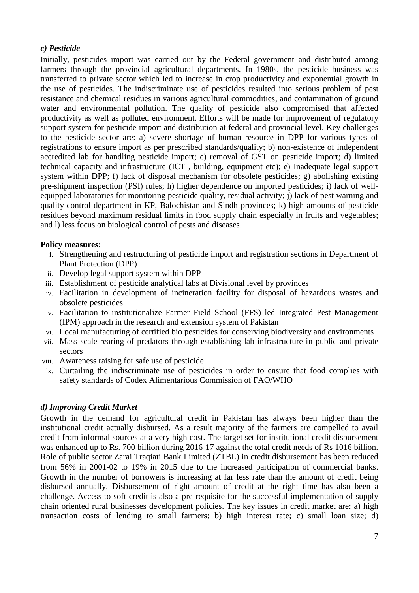#### <span id="page-11-0"></span>*c) Pesticide*

Initially, pesticides import was carried out by the Federal government and distributed among farmers through the provincial agricultural departments. In 1980s, the pesticide business was transferred to private sector which led to increase in crop productivity and exponential growth in the use of pesticides. The indiscriminate use of pesticides resulted into serious problem of pest resistance and chemical residues in various agricultural commodities, and contamination of ground water and environmental pollution. The quality of pesticide also compromised that affected productivity as well as polluted environment. Efforts will be made for improvement of regulatory support system for pesticide import and distribution at federal and provincial level. Key challenges to the pesticide sector are: a) severe shortage of human resource in DPP for various types of registrations to ensure import as per prescribed standards/quality; b) non-existence of independent accredited lab for handling pesticide import; c) removal of GST on pesticide import; d) limited technical capacity and infrastructure (ICT , building, equipment etc); e) Inadequate legal support system within DPP; f) lack of disposal mechanism for obsolete pesticides; g) abolishing existing pre-shipment inspection (PSI) rules; h) higher dependence on imported pesticides; i) lack of wellequipped laboratories for monitoring pesticide quality, residual activity; j) lack of pest warning and quality control department in KP, Balochistan and Sindh provinces; k) high amounts of pesticide residues beyond maximum residual limits in food supply chain especially in fruits and vegetables; and l) less focus on biological control of pests and diseases.

#### **Policy measures:**

- i. Strengthening and restructuring of pesticide import and registration sections in Department of Plant Protection (DPP)
- ii. Develop legal support system within DPP
- iii. Establishment of pesticide analytical labs at Divisional level by provinces
- iv. Facilitation in development of incineration facility for disposal of hazardous wastes and obsolete pesticides
- v. Facilitation to institutionalize Farmer Field School (FFS) led Integrated Pest Management (IPM) approach in the research and extension system of Pakistan
- vi. Local manufacturing of certified bio pesticides for conserving biodiversity and environments
- vii. Mass scale rearing of predators through establishing lab infrastructure in public and private sectors
- viii. Awareness raising for safe use of pesticide
- ix. Curtailing the indiscriminate use of pesticides in order to ensure that food complies with safety standards of Codex Alimentarious Commission of FAO/WHO

#### <span id="page-11-1"></span>*d) Improving Credit Market*

Growth in the demand for agricultural credit in Pakistan has always been higher than the institutional credit actually disbursed. As a result majority of the farmers are compelled to avail credit from informal sources at a very high cost. The target set for institutional credit disbursement was enhanced up to Rs. 700 billion during 2016-17 against the total credit needs of Rs 1016 billion. Role of public sector Zarai Traqiati Bank Limited (ZTBL) in credit disbursement has been reduced from 56% in 2001‐02 to 19% in 2015 due to the increased participation of commercial banks. Growth in the number of borrowers is increasing at far less rate than the amount of credit being disbursed annually. Disbursement of right amount of credit at the right time has also been a challenge. Access to soft credit is also a pre-requisite for the successful implementation of supply chain oriented rural businesses development policies. The key issues in credit market are: a) high transaction costs of lending to small farmers; b) high interest rate; c) small loan size; d)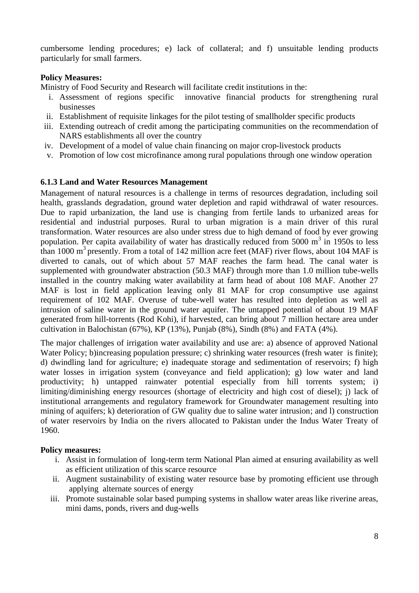cumbersome lending procedures; e) lack of collateral; and f) unsuitable lending products particularly for small farmers.

#### **Policy Measures:**

Ministry of Food Security and Research will facilitate credit institutions in the:

- i. Assessment of regions specific innovative financial products for strengthening rural businesses
- ii. Establishment of requisite linkages for the pilot testing of smallholder specific products
- iii. Extending outreach of credit among the participating communities on the recommendation of NARS establishments all over the country
- iv. Development of a model of value chain financing on major crop-livestock products
- v. Promotion of low cost microfinance among rural populations through one window operation

#### <span id="page-12-0"></span>**6.1.3 Land and Water Resources Management**

Management of natural resources is a challenge in terms of resources degradation, including soil health, grasslands degradation, ground water depletion and rapid withdrawal of water resources. Due to rapid urbanization, the land use is changing from fertile lands to urbanized areas for residential and industrial purposes. Rural to urban migration is a main driver of this rural transformation. Water resources are also under stress due to high demand of food by ever growing population. Per capita availability of water has drastically reduced from  $5000 \text{ m}^3$  in 1950s to less than 1000  $\text{m}^3$  presently. From a total of 142 million acre feet (MAF) river flows, about 104 MAF is diverted to canals, out of which about 57 MAF reaches the farm head. The canal water is supplemented with groundwater abstraction (50.3 MAF) through more than 1.0 million tube-wells installed in the country making water availability at farm head of about 108 MAF. Another 27 MAF is lost in field application leaving only 81 MAF for crop consumptive use against requirement of 102 MAF. Overuse of tube-well water has resulted into depletion as well as intrusion of saline water in the ground water aquifer. The untapped potential of about 19 MAF generated from hill-torrents (Rod Kohi), if harvested, can bring about 7 million hectare area under cultivation in Balochistan (67%), KP (13%), Punjab (8%), Sindh (8%) and FATA (4%).

The major challenges of irrigation water availability and use are: a) absence of approved National Water Policy; b)increasing population pressure; c) shrinking water resources (fresh water is finite); d) dwindling land for agriculture; e) inadequate storage and sedimentation of reservoirs; f) high water losses in irrigation system (conveyance and field application); g) low water and land productivity; h) untapped rainwater potential especially from hill torrents system; i) limiting/diminishing energy resources (shortage of electricity and high cost of diesel); j) lack of institutional arrangements and regulatory framework for Groundwater management resulting into mining of aquifers; k) deterioration of GW quality due to saline water intrusion; and l) construction of water reservoirs by India on the rivers allocated to Pakistan under the Indus Water Treaty of 1960.

- i. Assist in formulation of long-term term National Plan aimed at ensuring availability as well as efficient utilization of this scarce resource
- ii. Augment sustainability of existing water resource base by promoting efficient use through applying alternate sources of energy
- iii. Promote sustainable solar based pumping systems in shallow water areas like riverine areas, mini dams, ponds, rivers and dug-wells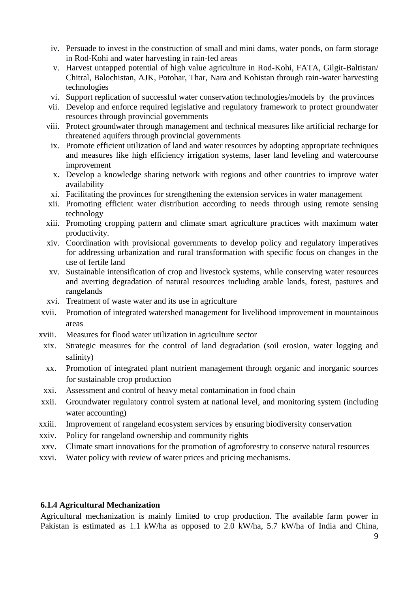- iv. Persuade to invest in the construction of small and mini dams, water ponds, on farm storage in Rod-Kohi and water harvesting in rain-fed areas
- v. Harvest untapped potential of high value agriculture in Rod-Kohi, FATA, Gilgit-Baltistan/ Chitral, Balochistan, AJK, Potohar, Thar, Nara and Kohistan through rain-water harvesting technologies
- vi. Support replication of successful water conservation technologies/models by the provinces
- vii. Develop and enforce required legislative and regulatory framework to protect groundwater resources through provincial governments
- viii. Protect groundwater through management and technical measures like artificial recharge for threatened aquifers through provincial governments
- ix. Promote efficient utilization of land and water resources by adopting appropriate techniques and measures like high efficiency irrigation systems, laser land leveling and watercourse improvement
- x. Develop a knowledge sharing network with regions and other countries to improve water availability
- xi. Facilitating the provinces for strengthening the extension services in water management
- xii. Promoting efficient water distribution according to needs through using remote sensing technology
- xiii. Promoting cropping pattern and climate smart agriculture practices with maximum water productivity.
- xiv. Coordination with provisional governments to develop policy and regulatory imperatives for addressing urbanization and rural transformation with specific focus on changes in the use of fertile land
- xv. Sustainable intensification of crop and livestock systems, while conserving water resources and averting degradation of natural resources including arable lands, forest, pastures and rangelands
- xvi. Treatment of waste water and its use in agriculture
- xvii. Promotion of integrated watershed management for livelihood improvement in mountainous areas
- xviii. Measures for flood water utilization in agriculture sector
- xix. Strategic measures for the control of land degradation (soil erosion, water logging and salinity)
- xx. Promotion of integrated plant nutrient management through organic and inorganic sources for sustainable crop production
- xxi. Assessment and control of heavy metal contamination in food chain
- xxii. Groundwater regulatory control system at national level, and monitoring system (including water accounting)
- xxiii. Improvement of rangeland ecosystem services by ensuring biodiversity conservation
- xxiv. Policy for rangeland ownership and community rights
- xxv. Climate smart innovations for the promotion of agroforestry to conserve natural resources
- xxvi. Water policy with review of water prices and pricing mechanisms.

#### <span id="page-13-0"></span>**6.1.4 Agricultural Mechanization**

Agricultural mechanization is mainly limited to crop production. The available farm power in Pakistan is estimated as 1.1 kW/ha as opposed to 2.0 kW/ha, 5.7 kW/ha of India and China,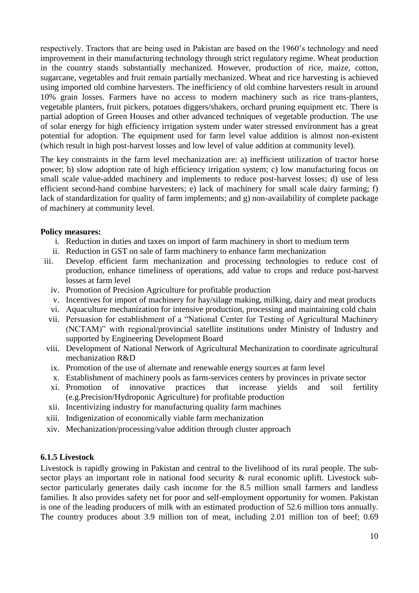respectively. Tractors that are being used in Pakistan are based on the 1960's technology and need improvement in their manufacturing technology through strict regulatory regime. Wheat production in the country stands substantially mechanized. However, production of rice, maize, cotton, sugarcane, vegetables and fruit remain partially mechanized. Wheat and rice harvesting is achieved using imported old combine harvesters. The inefficiency of old combine harvesters result in around 10% grain losses. Farmers have no access to modern machinery such as rice trans-planters, vegetable planters, fruit pickers, potatoes diggers/shakers, orchard pruning equipment etc. There is partial adoption of Green Houses and other advanced techniques of vegetable production. The use of solar energy for high efficiency irrigation system under water stressed environment has a great potential for adoption. The equipment used for farm level value addition is almost non-existent (which result in high post-harvest losses and low level of value addition at community level).

The key constraints in the farm level mechanization are: a) inefficient utilization of tractor horse power; b) slow adoption rate of high efficiency irrigation system; c) low manufacturing focus on small scale value-added machinery and implements to reduce post-harvest losses; d) use of less efficient second-hand combine harvesters; e) lack of machinery for small scale dairy farming; f) lack of standardization for quality of farm implements; and g) non-availability of complete package of machinery at community level.

#### **Policy measures:**

- i. Reduction in duties and taxes on import of farm machinery in short to medium term
- ii. Reduction in GST on sale of farm machinery to enhance farm mechanization
- iii. Develop efficient farm mechanization and processing technologies to reduce cost of production, enhance timeliness of operations, add value to crops and reduce post-harvest losses at farm level
	- iv. Promotion of Precision Agriculture for profitable production
	- v. Incentives for import of machinery for hay/silage making, milking, dairy and meat products
	- vi. Aquaculture mechanization for intensive production, processing and maintaining cold chain
	- vii. Persuasion for establishment of a "National Center for Testing of Agricultural Machinery (NCTAM)" with regional/provincial satellite institutions under Ministry of Industry and supported by Engineering Development Board
- viii. Development of National Network of Agricultural Mechanization to coordinate agricultural mechanization R&D
	- ix. Promotion of the use of alternate and renewable energy sources at farm level
	- x. Establishment of machinery pools as farm-services centers by provinces in private sector
- xi. Promotion of innovative practices that increase yields and soil fertility (e.g.Precision/Hydroponic Agriculture) for profitable production
- xii. Incentivizing industry for manufacturing quality farm machines
- xiii. Indigenization of economically viable farm mechanization
- xiv. Mechanization/processing/value addition through cluster approach

#### <span id="page-14-0"></span>**6.1.5 Livestock**

Livestock is rapidly growing in Pakistan and central to the livelihood of its rural people. The subsector plays an important role in national food security & rural economic uplift. Livestock subsector particularly generates daily cash income for the 8.5 million small farmers and landless families. It also provides safety net for poor and self-employment opportunity for women. Pakistan is one of the leading producers of milk with an estimated production of 52.6 million tons annually. The country produces about 3.9 million ton of meat, including 2.01 million ton of beef; 0.69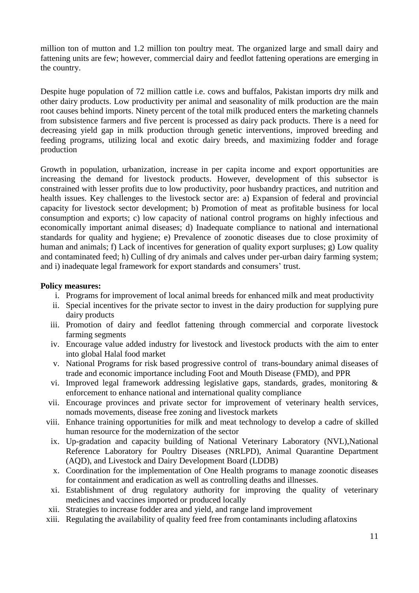million ton of mutton and 1.2 million ton poultry meat. The organized large and small dairy and fattening units are few; however, commercial dairy and feedlot fattening operations are emerging in the country.

Despite huge population of 72 million cattle i.e. cows and buffalos, Pakistan imports dry milk and other dairy products. Low productivity per animal and seasonality of milk production are the main root causes behind imports. Ninety percent of the total milk produced enters the marketing channels from subsistence farmers and five percent is processed as dairy pack products. There is a need for decreasing yield gap in milk production through genetic interventions, improved breeding and feeding programs, utilizing local and exotic dairy breeds, and maximizing fodder and forage production

Growth in population, urbanization, increase in per capita income and export opportunities are increasing the demand for livestock products. However, development of this subsector is constrained with lesser profits due to low productivity, poor husbandry practices, and nutrition and health issues. Key challenges to the livestock sector are: a) Expansion of federal and provincial capacity for livestock sector development; b) Promotion of meat as profitable business for local consumption and exports; c) low capacity of national control programs on highly infectious and economically important animal diseases; d) Inadequate compliance to national and international standards for quality and hygiene; e) Prevalence of zoonotic diseases due to close proximity of human and animals; f) Lack of incentives for generation of quality export surpluses; g) Low quality and contaminated feed; h) Culling of dry animals and calves under per-urban dairy farming system; and i) inadequate legal framework for export standards and consumers' trust.

- i. Programs for improvement of local animal breeds for enhanced milk and meat productivity
- ii. Special incentives for the private sector to invest in the dairy production for supplying pure dairy products
- iii. Promotion of dairy and feedlot fattening through commercial and corporate livestock farming segments
- iv. Encourage value added industry for livestock and livestock products with the aim to enter into global Halal food market
- v. National Programs for risk based progressive control of trans-boundary animal diseases of trade and economic importance including Foot and Mouth Disease (FMD), and PPR
- vi. Improved legal framework addressing legislative gaps, standards, grades, monitoring & enforcement to enhance national and international quality compliance
- vii. Encourage provinces and private sector for improvement of veterinary health services, nomads movements, disease free zoning and livestock markets
- viii. Enhance training opportunities for milk and meat technology to develop a cadre of skilled human resource for the modernization of the sector
- ix. Up-gradation and capacity building of National Veterinary Laboratory (NVL),National Reference Laboratory for Poultry Diseases (NRLPD), Animal Quarantine Department (AQD), and Livestock and Dairy Development Board (LDDB)
- x. Coordination for the implementation of One Health programs to manage zoonotic diseases for containment and eradication as well as controlling deaths and illnesses.
- xi. Establishment of drug regulatory authority for improving the quality of veterinary medicines and vaccines imported or produced locally
- xii. Strategies to increase fodder area and yield, and range land improvement
- xiii. Regulating the availability of quality feed free from contaminants including aflatoxins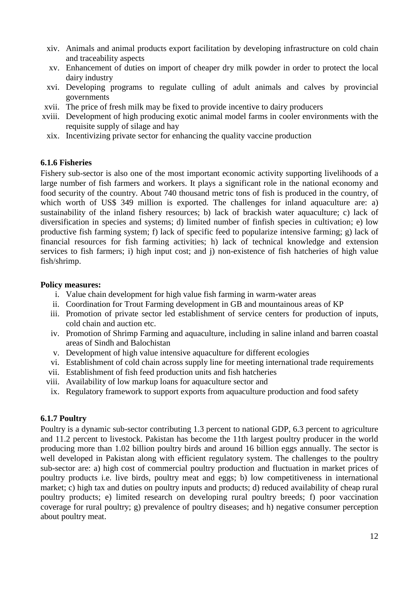- xiv. Animals and animal products export facilitation by developing infrastructure on cold chain and traceability aspects
- xv. Enhancement of duties on import of cheaper dry milk powder in order to protect the local dairy industry
- xvi. Developing programs to regulate culling of adult animals and calves by provincial governments
- xvii. The price of fresh milk may be fixed to provide incentive to dairy producers
- xviii. Development of high producing exotic animal model farms in cooler environments with the requisite supply of silage and hay
- xix. Incentivizing private sector for enhancing the quality vaccine production

#### <span id="page-16-0"></span>**6.1.6 Fisheries**

Fishery sub-sector is also one of the most important economic activity supporting livelihoods of a large number of fish farmers and workers. It plays a significant role in the national economy and food security of the country. About 740 thousand metric tons of fish is produced in the country, of which worth of US\$ 349 million is exported. The challenges for inland aquaculture are: a) sustainability of the inland fishery resources; b) lack of brackish water aquaculture; c) lack of diversification in species and systems; d) limited number of finfish species in cultivation; e) low productive fish farming system; f) lack of specific feed to popularize intensive farming; g) lack of financial resources for fish farming activities; h) lack of technical knowledge and extension services to fish farmers; i) high input cost; and j) non-existence of fish hatcheries of high value fish/shrimp.

#### **Policy measures:**

- i. Value chain development for high value fish farming in warm-water areas
- ii. Coordination for Trout Farming development in GB and mountainous areas of KP
- iii. Promotion of private sector led establishment of service centers for production of inputs, cold chain and auction etc.
- iv. Promotion of Shrimp Farming and aquaculture, including in saline inland and barren coastal areas of Sindh and Balochistan
- v. Development of high value intensive aquaculture for different ecologies
- vi. Establishment of cold chain across supply line for meeting international trade requirements
- vii. Establishment of fish feed production units and fish hatcheries
- viii. Availability of low markup loans for aquaculture sector and
- ix. Regulatory framework to support exports from aquaculture production and food safety

#### <span id="page-16-1"></span>**6.1.7 Poultry**

Poultry is a dynamic sub-sector contributing 1.3 percent to national GDP, 6.3 percent to agriculture and 11.2 percent to livestock. Pakistan has become the 11th largest poultry producer in the world producing more than 1.02 billion poultry birds and around 16 billion eggs annually. The sector is well developed in Pakistan along with efficient regulatory system. The challenges to the poultry sub-sector are: a) high cost of commercial poultry production and fluctuation in market prices of poultry products i.e. live birds, poultry meat and eggs; b) low competitiveness in international market; c) high tax and duties on poultry inputs and products; d) reduced availability of cheap rural poultry products; e) limited research on developing rural poultry breeds; f) poor vaccination coverage for rural poultry; g) prevalence of poultry diseases; and h) negative consumer perception about poultry meat.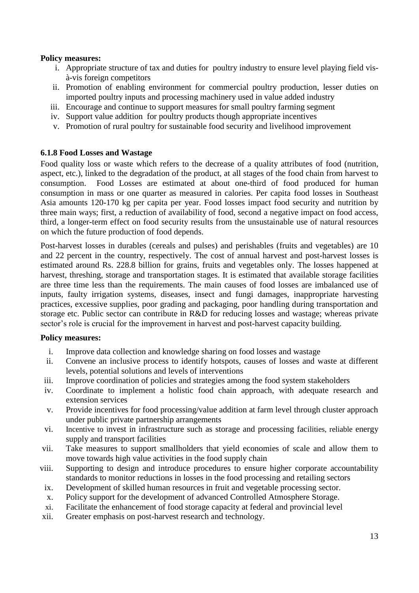#### **Policy measures:**

- i. Appropriate structure of tax and duties for poultry industry to ensure level playing field visà-vis foreign competitors
- ii. Promotion of enabling environment for commercial poultry production, lesser duties on imported poultry inputs and processing machinery used in value added industry
- iii. Encourage and continue to support measures for small poultry farming segment
- iv. Support value addition for poultry products though appropriate incentives
- v. Promotion of rural poultry for sustainable food security and livelihood improvement

#### <span id="page-17-0"></span>**6.1.8 Food Losses and Wastage**

Food quality loss or waste which refers to the decrease of a quality attributes of food (nutrition, aspect, etc.), linked to the degradation of the product, at all stages of the food chain from harvest to consumption. Food Losses are estimated at about one-third of food produced for human consumption in mass or one quarter as measured in calories. Per capita food losses in Southeast Asia amounts 120-170 kg per capita per year. Food losses impact food security and nutrition by three main ways; first, a reduction of availability of food, second a negative impact on food access, third, a longer-term effect on food security results from the unsustainable use of natural resources on which the future production of food depends.

Post-harvest losses in durables (cereals and pulses) and perishables (fruits and vegetables) are 10 and 22 percent in the country, respectively. The cost of annual harvest and post-harvest losses is estimated around Rs. 228.8 billion for grains, fruits and vegetables only. The losses happened at harvest, threshing, storage and transportation stages. It is estimated that available storage facilities are three time less than the requirements. The main causes of food losses are imbalanced use of inputs, faulty irrigation systems, diseases, insect and fungi damages, inappropriate harvesting practices, excessive supplies, poor grading and packaging, poor handling during transportation and storage etc. Public sector can contribute in R&D for reducing losses and wastage; whereas private sector's role is crucial for the improvement in harvest and post-harvest capacity building.

- i. Improve data collection and knowledge sharing on food losses and wastage
- ii. Convene an inclusive process to identify hotspots, causes of losses and waste at different levels, potential solutions and levels of interventions
- iii. Improve coordination of policies and strategies among the food system stakeholders
- iv. Coordinate to implement a holistic food chain approach, with adequate research and extension services
- v. Provide incentives for food processing/value addition at farm level through cluster approach under public private partnership arrangements
- vi. Incentive to invest in infrastructure such as storage and processing facilities, reliable energy supply and transport facilities
- vii. Take measures to support smallholders that yield economies of scale and allow them to move towards high value activities in the food supply chain
- viii. Supporting to design and introduce procedures to ensure higher corporate accountability standards to monitor reductions in losses in the food processing and retailing sectors
- ix. Development of skilled human resources in fruit and vegetable processing sector.
- x. Policy support for the development of advanced Controlled Atmosphere Storage.
- xi. Facilitate the enhancement of food storage capacity at federal and provincial level
- xii. Greater emphasis on post-harvest research and technology.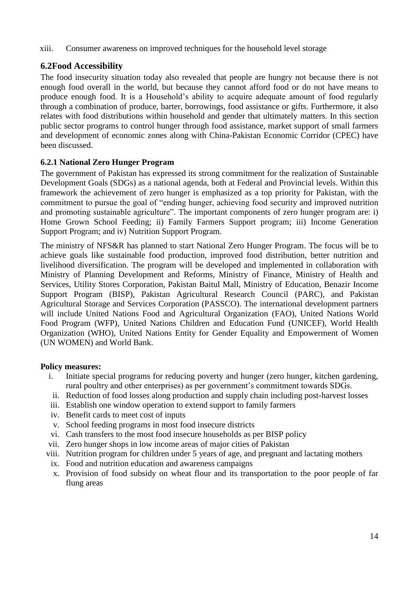xiii. Consumer awareness on improved techniques for the household level storage

# <span id="page-18-0"></span>**6.2Food Accessibility**

The food insecurity situation today also revealed that people are hungry not because there is not enough food overall in the world, but because they cannot afford food or do not have means to produce enough food. It is a Household's ability to acquire adequate amount of food regularly through a combination of produce, barter, borrowings, food assistance or gifts. Furthermore, it also relates with food distributions within household and gender that ultimately matters. In this section public sector programs to control hunger through food assistance, market support of small farmers and development of economic zones along with China-Pakistan Economic Corridor (CPEC) have been discussed.

#### <span id="page-18-1"></span>**6.2.1 National Zero Hunger Program**

The government of Pakistan has expressed its strong commitment for the realization of Sustainable Development Goals (SDGs) as a national agenda, both at Federal and Provincial levels. Within this framework the achievement of zero hunger is emphasized as a top priority for Pakistan, with the commitment to pursue the goal of "ending hunger, achieving food security and improved nutrition and promoting sustainable agriculture". The important components of zero hunger program are: i) Home Grown School Feeding; ii) Family Farmers Support program; iii) Income Generation Support Program; and iv) Nutrition Support Program.

The ministry of NFS&R has planned to start National Zero Hunger Program. The focus will be to achieve goals like sustainable food production, improved food distribution, better nutrition and livelihood diversification. The program will be developed and implemented in collaboration with Ministry of Planning Development and Reforms, Ministry of Finance, Ministry of Health and Services, Utility Stores Corporation, Pakistan Baitul Mall, Ministry of Education, Benazir Income Support Program (BISP), Pakistan Agricultural Research Council (PARC), and Pakistan Agricultural Storage and Services Corporation (PASSCO). The international development partners will include United Nations Food and Agricultural Organization (FAO), United Nations World Food Program (WFP), United Nations Children and Education Fund (UNICEF), World Health Organization (WHO), United Nations Entity for Gender Equality and Empowerment of Women (UN WOMEN) and World Bank.

- i. Initiate special programs for reducing poverty and hunger (zero hunger, kitchen gardening, rural poultry and other enterprises) as per government's commitment towards SDGs.
- ii. Reduction of food losses along production and supply chain including post-harvest losses
- iii. Establish one window operation to extend support to family farmers
- iv. Benefit cards to meet cost of inputs
- v. School feeding programs in most food insecure districts
- vi. Cash transfers to the most food insecure households as per BISP policy
- vii. Zero hunger shops in low income areas of major cities of Pakistan
- viii. Nutrition program for children under 5 years of age, and pregnant and lactating mothers
- ix. Food and nutrition education and awareness campaigns
- x. Provision of food subsidy on wheat flour and its transportation to the poor people of far flung areas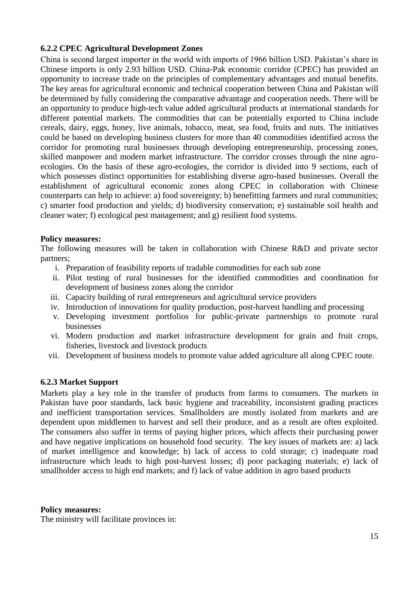#### <span id="page-19-0"></span>**6.2.2 CPEC Agricultural Development Zones**

China is second largest importer in the world with imports of 1966 billion USD. Pakistan's share in Chinese imports is only 2.93 billion USD. China-Pak economic corridor (CPEC) has provided an opportunity to increase trade on the principles of complementary advantages and mutual benefits. The key areas for agricultural economic and technical cooperation between China and Pakistan will be determined by fully considering the comparative advantage and cooperation needs. There will be an opportunity to produce high-tech value added agricultural products at international standards for different potential markets. The commodities that can be potentially exported to China include cereals, dairy, eggs, honey, live animals, tobacco, meat, sea food, fruits and nuts. The initiatives could be based on developing business clusters for more than 40 commodities identified across the corridor for promoting rural businesses through developing entrepreneurship, processing zones, skilled manpower and modern market infrastructure. The corridor crosses through the nine agroecologies. On the basis of these agro-ecologies, the corridor is divided into 9 sections, each of which possesses distinct opportunities for establishing diverse agro-based businesses. Overall the establishment of agricultural economic zones along CPEC in collaboration with Chinese counterparts can help to achieve: a) food sovereignty; b) benefitting farmers and rural communities; c) smarter food production and yields; d) biodiversity conservation; e) sustainable soil health and cleaner water; f) ecological pest management; and g) resilient food systems.

#### **Policy measures:**

The following measures will be taken in collaboration with Chinese R&D and private sector partners;

- i. Preparation of feasibility reports of tradable commodities for each sub zone
- ii. Pilot testing of rural businesses for the identified commodities and coordination for development of business zones along the corridor
- iii. Capacity building of rural entrepreneurs and agricultural service providers
- iv. Introduction of innovations for quality production, post-harvest handling and processing
- v. Developing investment portfolios for public-private partnerships to promote rural businesses
- vi. Modern production and market infrastructure development for grain and fruit crops, fisheries, livestock and livestock products
- vii. Development of business models to promote value added agriculture all along CPEC route.

#### <span id="page-19-1"></span>**6.2.3 Market Support**

Markets play a key role in the transfer of products from farms to consumers. The markets in Pakistan have poor standards, lack basic hygiene and traceability, inconsistent grading practices and inefficient transportation services. Smallholders are mostly isolated from markets and are dependent upon middlemen to harvest and sell their produce, and as a result are often exploited. The consumers also suffer in terms of paying higher prices, which affects their purchasing power and have negative implications on household food security. The key issues of markets are: a) lack of market intelligence and knowledge; b) lack of access to cold storage; c) inadequate road infrastructure which leads to high post-harvest losses; d) poor packaging materials; e) lack of smallholder access to high end markets; and f) lack of value addition in agro based products

#### **Policy measures:**

The ministry will facilitate provinces in: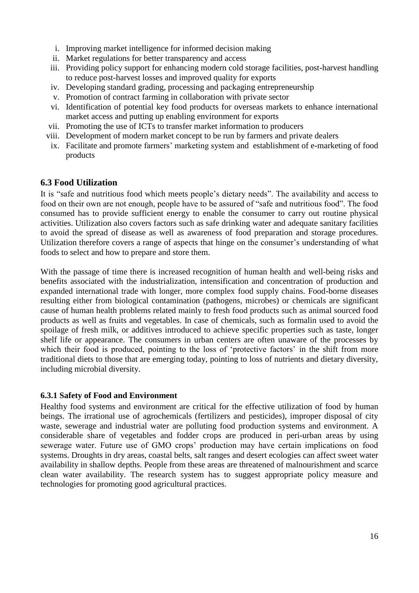- i. Improving market intelligence for informed decision making
- ii. Market regulations for better transparency and access
- iii. Providing policy support for enhancing modern cold storage facilities, post-harvest handling to reduce post-harvest losses and improved quality for exports
- iv. Developing standard grading, processing and packaging entrepreneurship
- v. Promotion of contract farming in collaboration with private sector
- vi. Identification of potential key food products for overseas markets to enhance international market access and putting up enabling environment for exports
- vii. Promoting the use of ICTs to transfer market information to producers
- viii. Development of modern market concept to be run by farmers and private dealers
- ix. Facilitate and promote farmers' marketing system and establishment of e-marketing of food products

#### <span id="page-20-0"></span>**6.3 Food Utilization**

It is "safe and nutritious food which meets people's dietary needs". The availability and access to food on their own are not enough, people have to be assured of "safe and nutritious food". The food consumed has to provide sufficient energy to enable the consumer to carry out routine physical activities. Utilization also covers factors such as safe drinking water and adequate sanitary facilities to avoid the spread of disease as well as awareness of food preparation and storage procedures. Utilization therefore covers a range of aspects that hinge on the consumer's understanding of what foods to select and how to prepare and store them.

With the passage of time there is increased recognition of human health and well-being risks and benefits associated with the industrialization, intensification and concentration of production and expanded international trade with longer, more complex food supply chains. Food-borne diseases resulting either from biological contamination (pathogens, microbes) or chemicals are significant cause of human health problems related mainly to fresh food products such as animal sourced food products as well as fruits and vegetables. In case of chemicals, such as formalin used to avoid the spoilage of fresh milk, or additives introduced to achieve specific properties such as taste, longer shelf life or appearance. The consumers in urban centers are often unaware of the processes by which their food is produced, pointing to the loss of 'protective factors' in the shift from more traditional diets to those that are emerging today, pointing to loss of nutrients and dietary diversity, including microbial diversity.

#### <span id="page-20-1"></span>**6.3.1 Safety of Food and Environment**

Healthy food systems and environment are critical for the effective utilization of food by human beings. The irrational use of agrochemicals (fertilizers and pesticides), improper disposal of city waste, sewerage and industrial water are polluting food production systems and environment. A considerable share of vegetables and fodder crops are produced in peri-urban areas by using sewerage water. Future use of GMO crops' production may have certain implications on food systems. Droughts in dry areas, coastal belts, salt ranges and desert ecologies can affect sweet water availability in shallow depths. People from these areas are threatened of malnourishment and scarce clean water availability. The research system has to suggest appropriate policy measure and technologies for promoting good agricultural practices.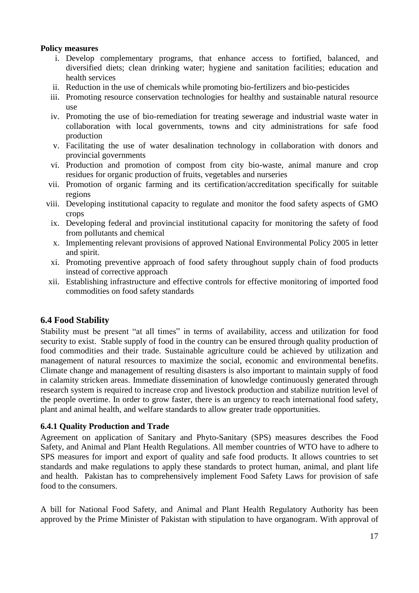#### **Policy measures**

- i. Develop complementary programs, that enhance access to fortified, balanced, and diversified diets; clean drinking water; hygiene and sanitation facilities; education and health services
- ii. Reduction in the use of chemicals while promoting bio-fertilizers and bio-pesticides
- iii. Promoting resource conservation technologies for healthy and sustainable natural resource use
- iv. Promoting the use of bio-remediation for treating sewerage and industrial waste water in collaboration with local governments, towns and city administrations for safe food production
- v. Facilitating the use of water desalination technology in collaboration with donors and provincial governments
- vi. Production and promotion of compost from city bio-waste, animal manure and crop residues for organic production of fruits, vegetables and nurseries
- vii. Promotion of organic farming and its certification/accreditation specifically for suitable regions
- viii. Developing institutional capacity to regulate and monitor the food safety aspects of GMO crops
	- ix. Developing federal and provincial institutional capacity for monitoring the safety of food from pollutants and chemical
	- x. Implementing relevant provisions of approved National Environmental Policy 2005 in letter and spirit.
- xi. Promoting preventive approach of food safety throughout supply chain of food products instead of corrective approach
- xii. Establishing infrastructure and effective controls for effective monitoring of imported food commodities on food safety standards

## <span id="page-21-0"></span>**6.4 Food Stability**

Stability must be present "at all times" in terms of availability, access and utilization for food security to exist. Stable supply of food in the country can be ensured through quality production of food commodities and their trade. Sustainable agriculture could be achieved by utilization and management of natural resources to maximize the social, economic and environmental benefits. Climate change and management of resulting disasters is also important to maintain supply of food in calamity stricken areas. Immediate dissemination of knowledge continuously generated through research system is required to increase crop and livestock production and stabilize nutrition level of the people overtime. In order to grow faster, there is an urgency to reach international food safety, plant and animal health, and welfare standards to allow greater trade opportunities.

#### <span id="page-21-1"></span>**6.4.1 Quality Production and Trade**

Agreement on application of Sanitary and Phyto-Sanitary (SPS) measures describes the Food Safety, and Animal and Plant Health Regulations. All member countries of WTO have to adhere to SPS measures for import and export of quality and safe food products. It allows countries to set standards and make regulations to apply these standards to protect human, animal, and plant life and health. Pakistan has to comprehensively implement Food Safety Laws for provision of safe food to the consumers.

A bill for National Food Safety, and Animal and Plant Health Regulatory Authority has been approved by the Prime Minister of Pakistan with stipulation to have organogram. With approval of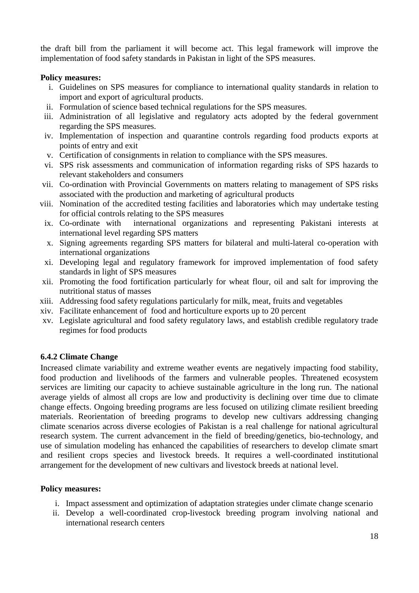the draft bill from the parliament it will become act. This legal framework will improve the implementation of food safety standards in Pakistan in light of the SPS measures.

#### **Policy measures:**

- i. Guidelines on SPS measures for compliance to international quality standards in relation to import and export of agricultural products.
- ii. Formulation of science based technical regulations for the SPS measures.
- iii. Administration of all legislative and regulatory acts adopted by the federal government regarding the SPS measures.
- iv. Implementation of inspection and quarantine controls regarding food products exports at points of entry and exit
- v. Certification of consignments in relation to compliance with the SPS measures.
- vi. SPS risk assessments and communication of information regarding risks of SPS hazards to relevant stakeholders and consumers
- vii. Co-ordination with Provincial Governments on matters relating to management of SPS risks associated with the production and marketing of agricultural products
- viii. Nomination of the accredited testing facilities and laboratories which may undertake testing for official controls relating to the SPS measures
	- ix. Co-ordinate with international organizations and representing Pakistani interests at international level regarding SPS matters
	- x. Signing agreements regarding SPS matters for bilateral and multi-lateral co-operation with international organizations
	- xi. Developing legal and regulatory framework for improved implementation of food safety standards in light of SPS measures
- xii. Promoting the food fortification particularly for wheat flour, oil and salt for improving the nutritional status of masses
- xiii. Addressing food safety regulations particularly for milk, meat, fruits and vegetables
- xiv. Facilitate enhancement of food and horticulture exports up to 20 percent
- xv. Legislate agricultural and food safety regulatory laws, and establish credible regulatory trade regimes for food products

## <span id="page-22-0"></span>**6.4.2 Climate Change**

Increased climate variability and extreme weather events are negatively impacting food stability, food production and livelihoods of the farmers and vulnerable peoples. Threatened ecosystem services are limiting our capacity to achieve sustainable agriculture in the long run. The national average yields of almost all crops are low and productivity is declining over time due to climate change effects. Ongoing breeding programs are less focused on utilizing climate resilient breeding materials. Reorientation of breeding programs to develop new cultivars addressing changing climate scenarios across diverse ecologies of Pakistan is a real challenge for national agricultural research system. The current advancement in the field of breeding/genetics, bio-technology, and use of simulation modeling has enhanced the capabilities of researchers to develop climate smart and resilient crops species and livestock breeds. It requires a well-coordinated institutional arrangement for the development of new cultivars and livestock breeds at national level.

- i. Impact assessment and optimization of adaptation strategies under climate change scenario
- ii. Develop a well-coordinated crop-livestock breeding program involving national and international research centers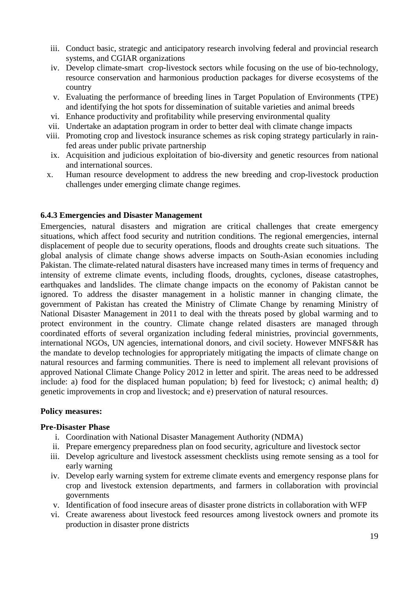- iii. Conduct basic, strategic and anticipatory research involving federal and provincial research systems, and CGIAR organizations
- iv. Develop climate-smart crop-livestock sectors while focusing on the use of bio-technology, resource conservation and harmonious production packages for diverse ecosystems of the country
- v. Evaluating the performance of breeding lines in Target Population of Environments (TPE) and identifying the hot spots for dissemination of suitable varieties and animal breeds
- vi. Enhance productivity and profitability while preserving environmental quality
- vii. Undertake an adaptation program in order to better deal with climate change impacts
- viii. Promoting crop and livestock insurance schemes as risk coping strategy particularly in rainfed areas under public private partnership
- ix. Acquisition and judicious exploitation of bio-diversity and genetic resources from national and international sources.
- x. Human resource development to address the new breeding and crop-livestock production challenges under emerging climate change regimes.

#### <span id="page-23-0"></span>**6.4.3 Emergencies and Disaster Management**

Emergencies, natural disasters and migration are critical challenges that create emergency situations, which affect food security and nutrition conditions. The regional emergencies, internal displacement of people due to security operations, floods and droughts create such situations. The global analysis of climate change shows adverse impacts on South-Asian economies including Pakistan. The climate-related natural disasters have increased many times in terms of frequency and intensity of extreme climate events, including floods, droughts, cyclones, disease catastrophes, earthquakes and landslides. The climate change impacts on the economy of Pakistan cannot be ignored. To address the disaster management in a holistic manner in changing climate, the government of Pakistan has created the Ministry of Climate Change by renaming Ministry of National Disaster Management in 2011 to deal with the threats posed by global warming and to protect environment in the country. Climate change related disasters are managed through coordinated efforts of several organization including federal ministries, provincial governments, international NGOs, UN agencies, international donors, and civil society. However MNFS&R has the mandate to develop technologies for appropriately mitigating the impacts of climate change on natural resources and farming communities. There is need to implement all relevant provisions of approved National Climate Change Policy 2012 in letter and spirit. The areas need to be addressed include: a) food for the displaced human population; b) feed for livestock; c) animal health; d) genetic improvements in crop and livestock; and e) preservation of natural resources.

#### **Policy measures:**

#### **Pre-Disaster Phase**

- i. Coordination with National Disaster Management Authority (NDMA)
- ii. Prepare emergency preparedness plan on food security, agriculture and livestock sector
- iii. Develop agriculture and livestock assessment checklists using remote sensing as a tool for early warning
- iv. Develop early warning system for extreme climate events and emergency response plans for crop and livestock extension departments, and farmers in collaboration with provincial governments
- v. Identification of food insecure areas of disaster prone districts in collaboration with WFP
- vi. Create awareness about livestock feed resources among livestock owners and promote its production in disaster prone districts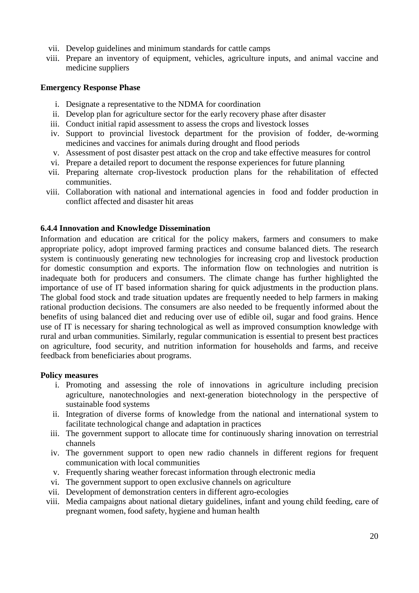- vii. Develop guidelines and minimum standards for cattle camps
- viii. Prepare an inventory of equipment, vehicles, agriculture inputs, and animal vaccine and medicine suppliers

#### **Emergency Response Phase**

- i. Designate a representative to the NDMA for coordination
- ii. Develop plan for agriculture sector for the early recovery phase after disaster
- iii. Conduct initial rapid assessment to assess the crops and livestock losses
- iv. Support to provincial livestock department for the provision of fodder, de-worming medicines and vaccines for animals during drought and flood periods
- v. Assessment of post disaster pest attack on the crop and take effective measures for control
- vi. Prepare a detailed report to document the response experiences for future planning
- vii. Preparing alternate crop-livestock production plans for the rehabilitation of effected communities.
- viii. Collaboration with national and international agencies in food and fodder production in conflict affected and disaster hit areas

#### <span id="page-24-0"></span>**6.4.4 Innovation and Knowledge Dissemination**

Information and education are critical for the policy makers, farmers and consumers to make appropriate policy, adopt improved farming practices and consume balanced diets. The research system is continuously generating new technologies for increasing crop and livestock production for domestic consumption and exports. The information flow on technologies and nutrition is inadequate both for producers and consumers. The climate change has further highlighted the importance of use of IT based information sharing for quick adjustments in the production plans. The global food stock and trade situation updates are frequently needed to help farmers in making rational production decisions. The consumers are also needed to be frequently informed about the benefits of using balanced diet and reducing over use of edible oil, sugar and food grains. Hence use of IT is necessary for sharing technological as well as improved consumption knowledge with rural and urban communities. Similarly, regular communication is essential to present best practices on agriculture, food security, and nutrition information for households and farms, and receive feedback from beneficiaries about programs.

- i. Promoting and assessing the role of innovations in agriculture including precision agriculture, nanotechnologies and next-generation biotechnology in the perspective of sustainable food systems
- ii. Integration of diverse forms of knowledge from the national and international system to facilitate technological change and adaptation in practices
- iii. The government support to allocate time for continuously sharing innovation on terrestrial channels
- iv. The government support to open new radio channels in different regions for frequent communication with local communities
- v. Frequently sharing weather forecast information through electronic media
- vi. The government support to open exclusive channels on agriculture
- vii. Development of demonstration centers in different agro-ecologies
- viii. Media campaigns about national dietary guidelines, infant and young child feeding, care of pregnant women, food safety, hygiene and human health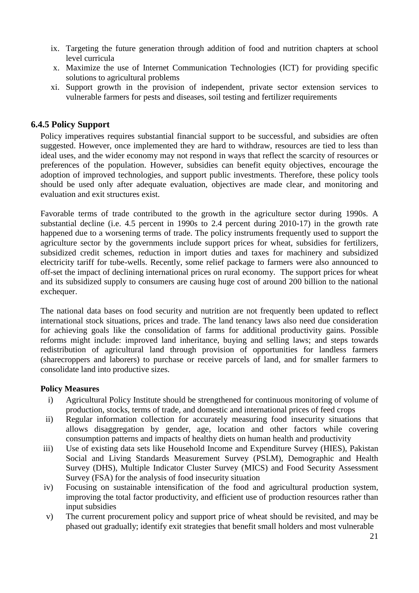- ix. Targeting the future generation through addition of food and nutrition chapters at school level curricula
- x. Maximize the use of Internet Communication Technologies (ICT) for providing specific solutions to agricultural problems
- xi. Support growth in the provision of independent, private sector extension services to vulnerable farmers for pests and diseases, soil testing and fertilizer requirements

#### <span id="page-25-0"></span>**6.4.5 Policy Support**

Policy imperatives requires substantial financial support to be successful, and subsidies are often suggested. However, once implemented they are hard to withdraw, resources are tied to less than ideal uses, and the wider economy may not respond in ways that reflect the scarcity of resources or preferences of the population. However, subsidies can benefit equity objectives, encourage the adoption of improved technologies, and support public investments. Therefore, these policy tools should be used only after adequate evaluation, objectives are made clear, and monitoring and evaluation and exit structures exist.

Favorable terms of trade contributed to the growth in the agriculture sector during 1990s. A substantial decline (i.e. 4.5 percent in 1990s to 2.4 percent during 2010-17) in the growth rate happened due to a worsening terms of trade. The policy instruments frequently used to support the agriculture sector by the governments include support prices for wheat, subsidies for fertilizers, subsidized credit schemes, reduction in import duties and taxes for machinery and subsidized electricity tariff for tube-wells. Recently, some relief package to farmers were also announced to off-set the impact of declining international prices on rural economy. The support prices for wheat and its subsidized supply to consumers are causing huge cost of around 200 billion to the national exchequer.

The national data bases on food security and nutrition are not frequently been updated to reflect international stock situations, prices and trade. The land tenancy laws also need due consideration for achieving goals like the consolidation of farms for additional productivity gains. Possible reforms might include: improved land inheritance, buying and selling laws; and steps towards redistribution of agricultural land through provision of opportunities for landless farmers (sharecroppers and laborers) to purchase or receive parcels of land, and for smaller farmers to consolidate land into productive sizes.

- i) Agricultural Policy Institute should be strengthened for continuous monitoring of volume of production, stocks, terms of trade, and domestic and international prices of feed crops
- ii) Regular information collection for accurately measuring food insecurity situations that allows disaggregation by gender, age, location and other factors while covering consumption patterns and impacts of healthy diets on human health and productivity
- iii) Use of existing data sets like Household Income and Expenditure Survey (HIES), Pakistan Social and Living Standards Measurement Survey (PSLM), Demographic and Health Survey (DHS), Multiple Indicator Cluster Survey (MICS) and Food Security Assessment Survey (FSA) for the analysis of food insecurity situation
- iv) Focusing on sustainable intensification of the food and agricultural production system, improving the total factor productivity, and efficient use of production resources rather than input subsidies
- v) The current procurement policy and support price of wheat should be revisited, and may be phased out gradually; identify exit strategies that benefit small holders and most vulnerable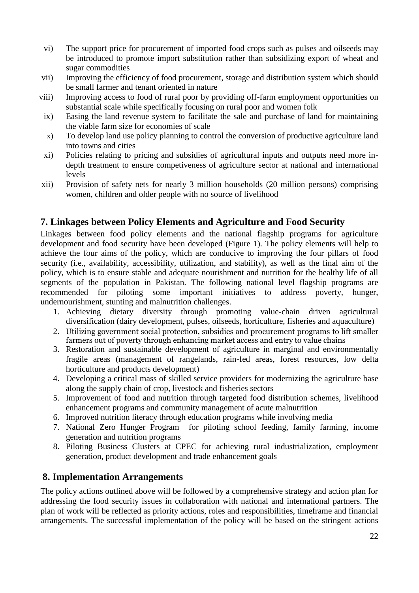- vi) The support price for procurement of imported food crops such as pulses and oilseeds may be introduced to promote import substitution rather than subsidizing export of wheat and sugar commodities
- vii) Improving the efficiency of food procurement, storage and distribution system which should be small farmer and tenant oriented in nature
- viii) Improving access to food of rural poor by providing off-farm employment opportunities on substantial scale while specifically focusing on rural poor and women folk
- ix) Easing the land revenue system to facilitate the sale and purchase of land for maintaining the viable farm size for economies of scale
- x) To develop land use policy planning to control the conversion of productive agriculture land into towns and cities
- xi) Policies relating to pricing and subsidies of agricultural inputs and outputs need more indepth treatment to ensure competiveness of agriculture sector at national and international levels
- xii) Provision of safety nets for nearly 3 million households (20 million persons) comprising women, children and older people with no source of livelihood

# <span id="page-26-0"></span>**7. Linkages between Policy Elements and Agriculture and Food Security**

Linkages between food policy elements and the national flagship programs for agriculture development and food security have been developed (Figure 1). The policy elements will help to achieve the four aims of the policy, which are conducive to improving the four pillars of food security (i.e., availability, accessibility, utilization, and stability), as well as the final aim of the policy, which is to ensure stable and adequate nourishment and nutrition for the healthy life of all segments of the population in Pakistan. The following national level flagship programs are recommended for piloting some important initiatives to address poverty, hunger, undernourishment, stunting and malnutrition challenges.

- 1. Achieving dietary diversity through promoting value-chain driven agricultural diversification (dairy development, pulses, oilseeds, horticulture, fisheries and aquaculture)
- 2. Utilizing government social protection, subsidies and procurement programs to lift smaller farmers out of poverty through enhancing market access and entry to value chains
- 3. Restoration and sustainable development of agriculture in marginal and environmentally fragile areas (management of rangelands, rain-fed areas, forest resources, low delta horticulture and products development)
- 4. Developing a critical mass of skilled service providers for modernizing the agriculture base along the supply chain of crop, livestock and fisheries sectors
- 5. Improvement of food and nutrition through targeted food distribution schemes, livelihood enhancement programs and community management of acute malnutrition
- 6. Improved nutrition literacy through education programs while involving media
- 7. National Zero Hunger Program for piloting school feeding, family farming, income generation and nutrition programs
- 8. Piloting Business Clusters at CPEC for achieving rural industrialization, employment generation, product development and trade enhancement goals

# <span id="page-26-1"></span>**8. Implementation Arrangements**

The policy actions outlined above will be followed by a comprehensive strategy and action plan for addressing the food security issues in collaboration with national and international partners. The plan of work will be reflected as priority actions, roles and responsibilities, timeframe and financial arrangements. The successful implementation of the policy will be based on the stringent actions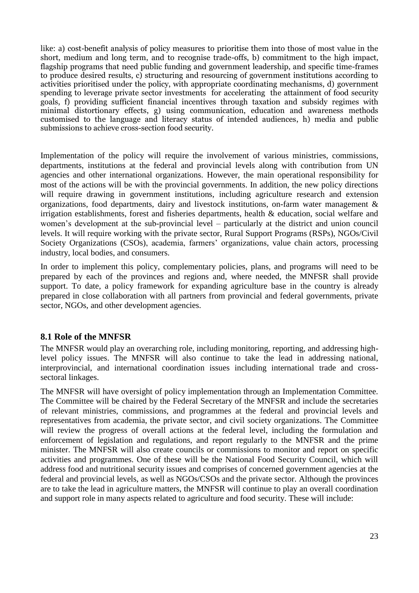like: a) cost-benefit analysis of policy measures to prioritise them into those of most value in the short, medium and long term, and to recognise trade-offs, b) commitment to the high impact, flagship programs that need public funding and government leadership, and specific time-frames to produce desired results, c) structuring and resourcing of government institutions according to activities prioritised under the policy, with appropriate coordinating mechanisms, d) government spending to leverage private sector investments for accelerating the attainment of food security goals, f) providing sufficient financial incentives through taxation and subsidy regimes with minimal distortionary effects, g) using communication, education and awareness methods customised to the language and literacy status of intended audiences, h) media and public submissions to achieve cross-section food security.

Implementation of the policy will require the involvement of various ministries, commissions, departments, institutions at the federal and provincial levels along with contribution from UN agencies and other international organizations. However, the main operational responsibility for most of the actions will be with the provincial governments. In addition, the new policy directions will require drawing in government institutions, including agriculture research and extension organizations, food departments, dairy and livestock institutions, on-farm water management & irrigation establishments, forest and fisheries departments, health & education, social welfare and women's development at the sub-provincial level – particularly at the district and union council levels. It will require working with the private sector, Rural Support Programs (RSPs), NGOs/Civil Society Organizations (CSOs), academia, farmers' organizations, value chain actors, processing industry, local bodies, and consumers.

In order to implement this policy, complementary policies, plans, and programs will need to be prepared by each of the provinces and regions and, where needed, the MNFSR shall provide support. To date, a policy framework for expanding agriculture base in the country is already prepared in close collaboration with all partners from provincial and federal governments, private sector, NGOs, and other development agencies.

#### <span id="page-27-0"></span>**8.1 Role of the MNFSR**

The MNFSR would play an overarching role, including monitoring, reporting, and addressing highlevel policy issues. The MNFSR will also continue to take the lead in addressing national, interprovincial, and international coordination issues including international trade and crosssectoral linkages.

The MNFSR will have oversight of policy implementation through an Implementation Committee. The Committee will be chaired by the Federal Secretary of the MNFSR and include the secretaries of relevant ministries, commissions, and programmes at the federal and provincial levels and representatives from academia, the private sector, and civil society organizations. The Committee will review the progress of overall actions at the federal level, including the formulation and enforcement of legislation and regulations, and report regularly to the MNFSR and the prime minister. The MNFSR will also create councils or commissions to monitor and report on specific activities and programmes. One of these will be the National Food Security Council, which will address food and nutritional security issues and comprises of concerned government agencies at the federal and provincial levels, as well as NGOs/CSOs and the private sector. Although the provinces are to take the lead in agriculture matters, the MNFSR will continue to play an overall coordination and support role in many aspects related to agriculture and food security. These will include: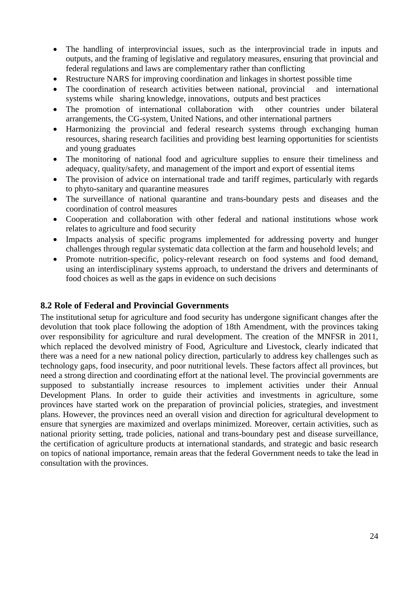- The handling of interprovincial issues, such as the interprovincial trade in inputs and outputs, and the framing of legislative and regulatory measures, ensuring that provincial and federal regulations and laws are complementary rather than conflicting
- Restructure NARS for improving coordination and linkages in shortest possible time
- The coordination of research activities between national, provincial and international systems while sharing knowledge, innovations, outputs and best practices
- The promotion of international collaboration with other countries under bilateral arrangements, the CG-system, United Nations, and other international partners
- Harmonizing the provincial and federal research systems through exchanging human resources, sharing research facilities and providing best learning opportunities for scientists and young graduates
- The monitoring of national food and agriculture supplies to ensure their timeliness and adequacy, quality/safety, and management of the import and export of essential items
- The provision of advice on international trade and tariff regimes, particularly with regards to phyto-sanitary and quarantine measures
- The surveillance of national quarantine and trans-boundary pests and diseases and the coordination of control measures
- Cooperation and collaboration with other federal and national institutions whose work relates to agriculture and food security
- Impacts analysis of specific programs implemented for addressing poverty and hunger challenges through regular systematic data collection at the farm and household levels; and
- Promote nutrition-specific, policy-relevant research on food systems and food demand, using an interdisciplinary systems approach, to understand the drivers and determinants of food choices as well as the gaps in evidence on such decisions

#### <span id="page-28-0"></span>**8.2 Role of Federal and Provincial Governments**

The institutional setup for agriculture and food security has undergone significant changes after the devolution that took place following the adoption of 18th Amendment, with the provinces taking over responsibility for agriculture and rural development. The creation of the MNFSR in 2011, which replaced the devolved ministry of Food, Agriculture and Livestock, clearly indicated that there was a need for a new national policy direction, particularly to address key challenges such as technology gaps, food insecurity, and poor nutritional levels. These factors affect all provinces, but need a strong direction and coordinating effort at the national level. The provincial governments are supposed to substantially increase resources to implement activities under their Annual Development Plans. In order to guide their activities and investments in agriculture, some provinces have started work on the preparation of provincial policies, strategies, and investment plans. However, the provinces need an overall vision and direction for agricultural development to ensure that synergies are maximized and overlaps minimized. Moreover, certain activities, such as national priority setting, trade policies, national and trans-boundary pest and disease surveillance, the certification of agriculture products at international standards, and strategic and basic research on topics of national importance, remain areas that the federal Government needs to take the lead in consultation with the provinces.